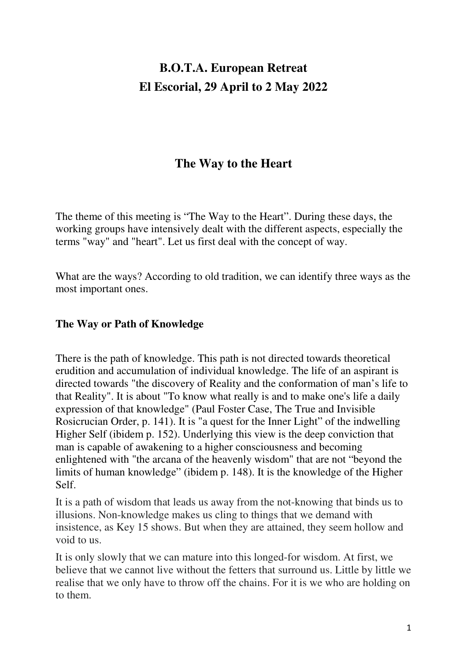# **B.O.T.A. European Retreat El Escorial, 29 April to 2 May 2022**

## **The Way to the Heart**

The theme of this meeting is "The Way to the Heart". During these days, the working groups have intensively dealt with the different aspects, especially the terms "way" and "heart". Let us first deal with the concept of way.

What are the ways? According to old tradition, we can identify three ways as the most important ones.

#### **The Way or Path of Knowledge**

There is the path of knowledge. This path is not directed towards theoretical erudition and accumulation of individual knowledge. The life of an aspirant is directed towards "the discovery of Reality and the conformation of man's life to that Reality". It is about "To know what really is and to make one's life a daily expression of that knowledge" (Paul Foster Case, The True and Invisible Rosicrucian Order, p. 141). It is "a quest for the Inner Light" of the indwelling Higher Self (ibidem p. 152). Underlying this view is the deep conviction that man is capable of awakening to a higher consciousness and becoming enlightened with "the arcana of the heavenly wisdom" that are not "beyond the limits of human knowledge" (ibidem p. 148). It is the knowledge of the Higher Self.

It is a path of wisdom that leads us away from the not-knowing that binds us to illusions. Non-knowledge makes us cling to things that we demand with insistence, as Key 15 shows. But when they are attained, they seem hollow and void to us.

It is only slowly that we can mature into this longed-for wisdom. At first, we believe that we cannot live without the fetters that surround us. Little by little we realise that we only have to throw off the chains. For it is we who are holding on to them.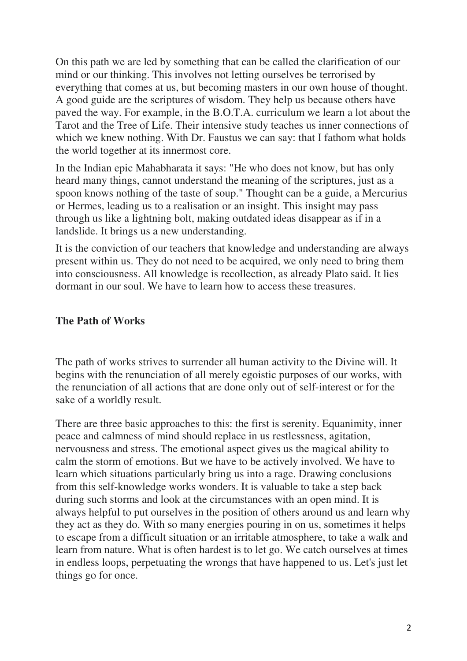On this path we are led by something that can be called the clarification of our mind or our thinking. This involves not letting ourselves be terrorised by everything that comes at us, but becoming masters in our own house of thought. A good guide are the scriptures of wisdom. They help us because others have paved the way. For example, in the B.O.T.A. curriculum we learn a lot about the Tarot and the Tree of Life. Their intensive study teaches us inner connections of which we knew nothing. With Dr. Faustus we can say: that I fathom what holds the world together at its innermost core.

In the Indian epic Mahabharata it says: "He who does not know, but has only heard many things, cannot understand the meaning of the scriptures, just as a spoon knows nothing of the taste of soup." Thought can be a guide, a Mercurius or Hermes, leading us to a realisation or an insight. This insight may pass through us like a lightning bolt, making outdated ideas disappear as if in a landslide. It brings us a new understanding.

It is the conviction of our teachers that knowledge and understanding are always present within us. They do not need to be acquired, we only need to bring them into consciousness. All knowledge is recollection, as already Plato said. It lies dormant in our soul. We have to learn how to access these treasures.

#### **The Path of Works**

The path of works strives to surrender all human activity to the Divine will. It begins with the renunciation of all merely egoistic purposes of our works, with the renunciation of all actions that are done only out of self-interest or for the sake of a worldly result.

There are three basic approaches to this: the first is serenity. Equanimity, inner peace and calmness of mind should replace in us restlessness, agitation, nervousness and stress. The emotional aspect gives us the magical ability to calm the storm of emotions. But we have to be actively involved. We have to learn which situations particularly bring us into a rage. Drawing conclusions from this self-knowledge works wonders. It is valuable to take a step back during such storms and look at the circumstances with an open mind. It is always helpful to put ourselves in the position of others around us and learn why they act as they do. With so many energies pouring in on us, sometimes it helps to escape from a difficult situation or an irritable atmosphere, to take a walk and learn from nature. What is often hardest is to let go. We catch ourselves at times in endless loops, perpetuating the wrongs that have happened to us. Let's just let things go for once.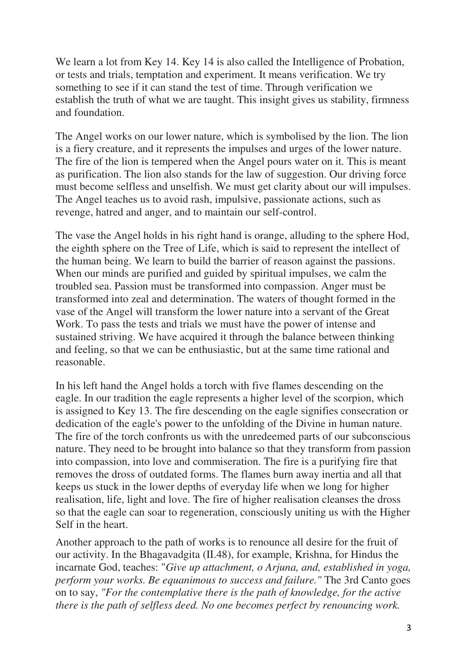We learn a lot from Key 14. Key 14 is also called the Intelligence of Probation, or tests and trials, temptation and experiment. It means verification. We try something to see if it can stand the test of time. Through verification we establish the truth of what we are taught. This insight gives us stability, firmness and foundation.

The Angel works on our lower nature, which is symbolised by the lion. The lion is a fiery creature, and it represents the impulses and urges of the lower nature. The fire of the lion is tempered when the Angel pours water on it. This is meant as purification. The lion also stands for the law of suggestion. Our driving force must become selfless and unselfish. We must get clarity about our will impulses. The Angel teaches us to avoid rash, impulsive, passionate actions, such as revenge, hatred and anger, and to maintain our self-control.

The vase the Angel holds in his right hand is orange, alluding to the sphere Hod, the eighth sphere on the Tree of Life, which is said to represent the intellect of the human being. We learn to build the barrier of reason against the passions. When our minds are purified and guided by spiritual impulses, we calm the troubled sea. Passion must be transformed into compassion. Anger must be transformed into zeal and determination. The waters of thought formed in the vase of the Angel will transform the lower nature into a servant of the Great Work. To pass the tests and trials we must have the power of intense and sustained striving. We have acquired it through the balance between thinking and feeling, so that we can be enthusiastic, but at the same time rational and reasonable.

In his left hand the Angel holds a torch with five flames descending on the eagle. In our tradition the eagle represents a higher level of the scorpion, which is assigned to Key 13. The fire descending on the eagle signifies consecration or dedication of the eagle's power to the unfolding of the Divine in human nature. The fire of the torch confronts us with the unredeemed parts of our subconscious nature. They need to be brought into balance so that they transform from passion into compassion, into love and commiseration. The fire is a purifying fire that removes the dross of outdated forms. The flames burn away inertia and all that keeps us stuck in the lower depths of everyday life when we long for higher realisation, life, light and love. The fire of higher realisation cleanses the dross so that the eagle can soar to regeneration, consciously uniting us with the Higher Self in the heart.

Another approach to the path of works is to renounce all desire for the fruit of our activity. In the Bhagavadgita (II.48), for example, Krishna, for Hindus the incarnate God, teaches: "*Give up attachment, o Arjuna, and, established in yoga, perform your works. Be equanimous to success and failure."* The 3rd Canto goes on to say, *"For the contemplative there is the path of knowledge, for the active there is the path of selfless deed. No one becomes perfect by renouncing work.*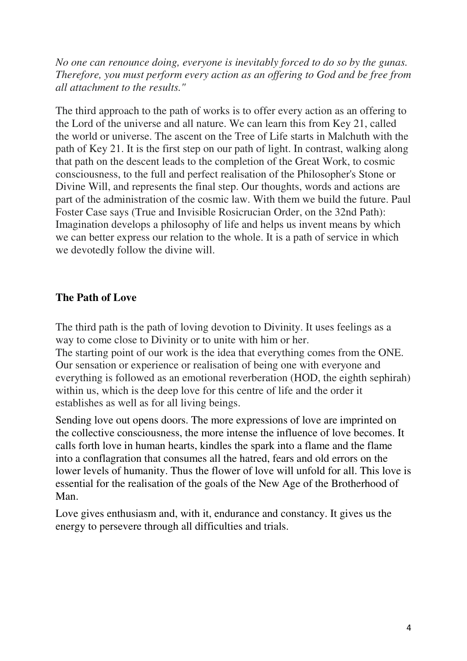*No one can renounce doing, everyone is inevitably forced to do so by the gunas. Therefore, you must perform every action as an offering to God and be free from all attachment to the results."* 

The third approach to the path of works is to offer every action as an offering to the Lord of the universe and all nature. We can learn this from Key 21, called the world or universe. The ascent on the Tree of Life starts in Malchuth with the path of Key 21. It is the first step on our path of light. In contrast, walking along that path on the descent leads to the completion of the Great Work, to cosmic consciousness, to the full and perfect realisation of the Philosopher's Stone or Divine Will, and represents the final step. Our thoughts, words and actions are part of the administration of the cosmic law. With them we build the future. Paul Foster Case says (True and Invisible Rosicrucian Order, on the 32nd Path): Imagination develops a philosophy of life and helps us invent means by which we can better express our relation to the whole. It is a path of service in which we devotedly follow the divine will.

### **The Path of Love**

The third path is the path of loving devotion to Divinity. It uses feelings as a way to come close to Divinity or to unite with him or her.

The starting point of our work is the idea that everything comes from the ONE. Our sensation or experience or realisation of being one with everyone and everything is followed as an emotional reverberation (HOD, the eighth sephirah) within us, which is the deep love for this centre of life and the order it establishes as well as for all living beings.

Sending love out opens doors. The more expressions of love are imprinted on the collective consciousness, the more intense the influence of love becomes. It calls forth love in human hearts, kindles the spark into a flame and the flame into a conflagration that consumes all the hatred, fears and old errors on the lower levels of humanity. Thus the flower of love will unfold for all. This love is essential for the realisation of the goals of the New Age of the Brotherhood of Man.

Love gives enthusiasm and, with it, endurance and constancy. It gives us the energy to persevere through all difficulties and trials.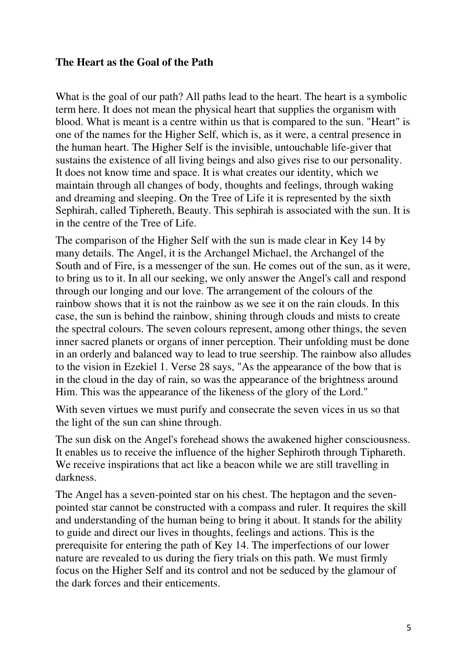#### **The Heart as the Goal of the Path**

What is the goal of our path? All paths lead to the heart. The heart is a symbolic term here. It does not mean the physical heart that supplies the organism with blood. What is meant is a centre within us that is compared to the sun. "Heart" is one of the names for the Higher Self, which is, as it were, a central presence in the human heart. The Higher Self is the invisible, untouchable life-giver that sustains the existence of all living beings and also gives rise to our personality. It does not know time and space. It is what creates our identity, which we maintain through all changes of body, thoughts and feelings, through waking and dreaming and sleeping. On the Tree of Life it is represented by the sixth Sephirah, called Tiphereth, Beauty. This sephirah is associated with the sun. It is in the centre of the Tree of Life.

The comparison of the Higher Self with the sun is made clear in Key 14 by many details. The Angel, it is the Archangel Michael, the Archangel of the South and of Fire, is a messenger of the sun. He comes out of the sun, as it were, to bring us to it. In all our seeking, we only answer the Angel's call and respond through our longing and our love. The arrangement of the colours of the rainbow shows that it is not the rainbow as we see it on the rain clouds. In this case, the sun is behind the rainbow, shining through clouds and mists to create the spectral colours. The seven colours represent, among other things, the seven inner sacred planets or organs of inner perception. Their unfolding must be done in an orderly and balanced way to lead to true seership. The rainbow also alludes to the vision in Ezekiel 1. Verse 28 says, "As the appearance of the bow that is in the cloud in the day of rain, so was the appearance of the brightness around Him. This was the appearance of the likeness of the glory of the Lord."

With seven virtues we must purify and consecrate the seven vices in us so that the light of the sun can shine through.

The sun disk on the Angel's forehead shows the awakened higher consciousness. It enables us to receive the influence of the higher Sephiroth through Tiphareth. We receive inspirations that act like a beacon while we are still travelling in darkness.

The Angel has a seven-pointed star on his chest. The heptagon and the sevenpointed star cannot be constructed with a compass and ruler. It requires the skill and understanding of the human being to bring it about. It stands for the ability to guide and direct our lives in thoughts, feelings and actions. This is the prerequisite for entering the path of Key 14. The imperfections of our lower nature are revealed to us during the fiery trials on this path. We must firmly focus on the Higher Self and its control and not be seduced by the glamour of the dark forces and their enticements.